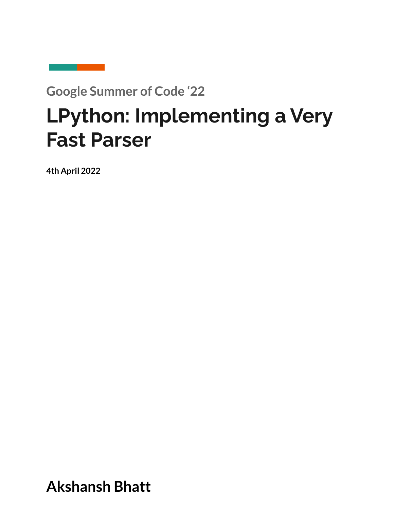**Google Summer of Code '22**

# **LPython: Implementing a Very Fast Parser**

**4th April 2022**

**Akshansh Bhatt**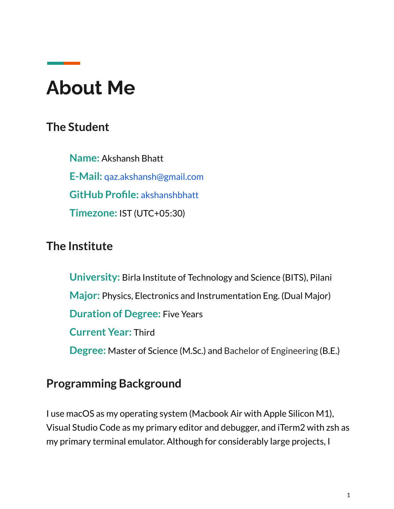## **About Me**

## **The Student**

**Name:** Akshansh Bhatt **E-Mail:** [qaz.akshansh@gmail.com](mailto:akshansh@tuta.io) **GitHub Profile:** [akshanshbhatt](http://www.github.com/akshanshbhatt) **Timezone:** IST (UTC+05:30)

## **The Institute**

**University:** Birla Institute of Technology and Science (BITS), Pilani **Major:** Physics, Electronics and Instrumentation Eng. (Dual Major) **Duration of Degree:** Five Years **Current Year:** Third **Degree:** Master of Science (M.Sc.) and Bachelor of Engineering (B.E.)

### **Programming Background**

I use macOS as my operating system (Macbook Air with Apple Silicon M1), Visual Studio Code as my primary editor and debugger, and iTerm2 with zsh as my primary terminal emulator. Although for considerably large projects, I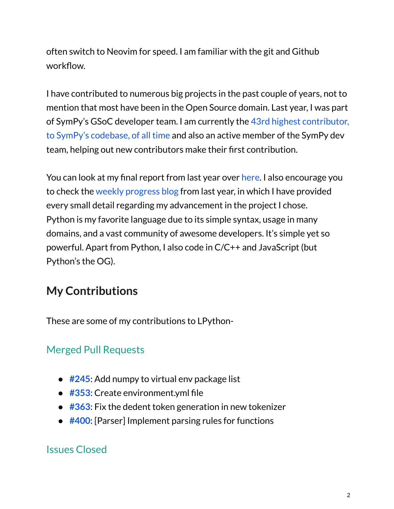often switch to Neovim for speed. I am familiar with the git and Github workflow.

I have contributed to numerous big projects in the past couple of years, not to mention that most have been in the Open Source domain. Last year, I was part of SymPy's GSoC developer team. I am currently the 43rd highest [contributor,](https://user-images.githubusercontent.com/53227127/129947040-e7385c81-0d43-45a9-8d87-c688dae30585.png) to SymPy's [codebase,](https://user-images.githubusercontent.com/53227127/129947040-e7385c81-0d43-45a9-8d87-c688dae30585.png) of all time and also an active member of the SymPy dev team, helping out new contributors make their first contribution.

You can look at my final report from last year over [here.](https://github.com/akshanshbhatt/GSoC-2021-Final-Report) I also encourage you to check the weekly [progress](https://gsoc-blog.akshansh.me/) blog from last year, in which I have provided every small detail regarding my advancement in the project I chose. Python is my favorite language due to its simple syntax, usage in many domains, and a vast community of awesome developers. It's simple yet so powerful. Apart from Python, I also code in C/C++ and JavaScript (but Python's the OG).

## **My Contributions**

These are some of my contributions to LPython-

### Merged Pull Requests

- [#245](https://github.com/lcompilers/lpython/pull/245): Add numpy to virtual env package list
- [#353](https://github.com/lcompilers/lpython/pull/353): Create environment.yml file
- **[#363](https://github.com/lcompilers/lpython/pull/363)**: Fix the dedent token generation in new tokenizer
- **[#400](https://github.com/lcompilers/lpython/pull/400)**: [Parser] Implement parsing rules for functions

### Issues Closed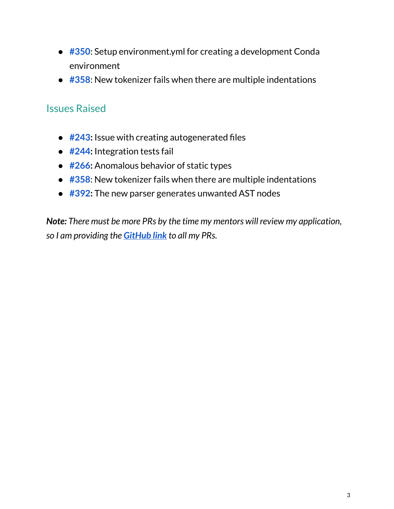- **[#350](https://github.com/lcompilers/lpython/issues/350)**: Setup environment.yml for creating a development Conda environment
- [#358](https://github.com/lcompilers/lpython/issues/358): New tokenizer fails when there are multiple indentations

#### Issues Raised

- **● [#243](https://github.com/lcompilers/lpython/issues/243):** Issue with creating autogenerated files
- **● [#244](https://github.com/lcompilers/lpython/issues/244):** Integration tests fail
- **● [#266](https://github.com/lcompilers/lpython/issues/266):** Anomalous behavior of static types
- **[#358](https://github.com/lcompilers/lpython/issues/358)**: New tokenizer fails when there are multiple indentations
- **● [#392](https://github.com/lcompilers/lpython/issues/392):** The new parser generates unwanted AST nodes

*Note: There must be more PRs by the time my mentors will review my application, so I am providing the [GitHub](https://github.com/lcompilers/lpython/pulls?q=is%3Apr+author%3Aakshanshbhatt+is%3Aclosed) link to all my PRs.*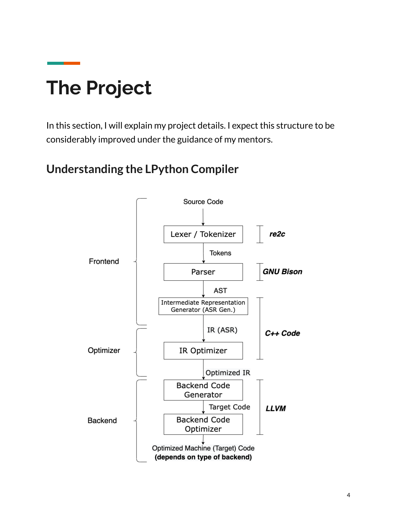# **The Project**

In this section, I will explain my project details. I expect this structure to be considerably improved under the guidance of my mentors.

## **Understanding the LPython Compiler**

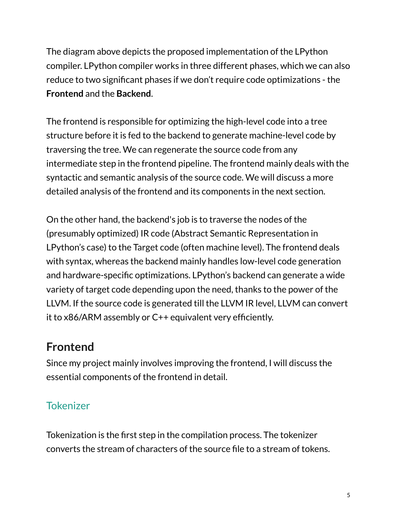The diagram above depicts the proposed implementation of the LPython compiler. LPython compiler works in three different phases, which we can also reduce to two significant phases if we don't require code optimizations - the **Frontend** and the **Backend**.

The frontend is responsible for optimizing the high-level code into a tree structure before it is fed to the backend to generate machine-level code by traversing the tree. We can regenerate the source code from any intermediate step in the frontend pipeline. The frontend mainly deals with the syntactic and semantic analysis of the source code. We will discuss a more detailed analysis of the frontend and its components in the next section.

On the other hand, the backend's job is to traverse the nodes of the (presumably optimized) IR code (Abstract Semantic Representation in LPython's case) to the Target code (often machine level). The frontend deals with syntax, whereas the backend mainly handles low-level code generation and hardware-specific optimizations. LPython's backend can generate a wide variety of target code depending upon the need, thanks to the power of the LLVM. If the source code is generated till the LLVM IR level, LLVM can convert it to x86/ARM assembly or C++ equivalent very efficiently.

## **Frontend**

Since my project mainly involves improving the frontend, I will discuss the essential components of the frontend in detail.

### **Tokenizer**

Tokenization is the first step in the compilation process. The tokenizer converts the stream of characters of the source file to a stream of tokens.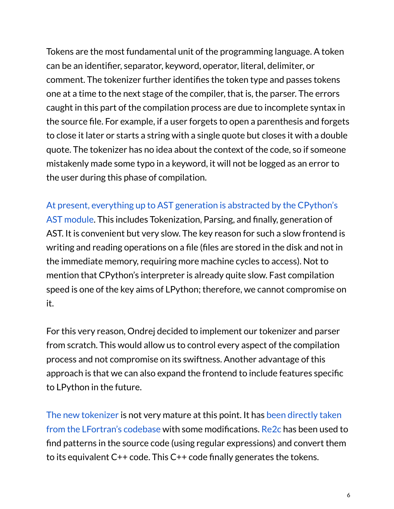Tokens are the most fundamental unit of the programming language. A token can be an identifier, separator, keyword, operator, literal, delimiter, or comment. The tokenizer further identifies the token type and passes tokens one at a time to the next stage of the compiler, that is, the parser. The errors caught in this part of the compilation process are due to incomplete syntax in the source file. For example, if a user forgets to open a parenthesis and forgets to close it later or starts a string with a single quote but closes it with a double quote. The tokenizer has no idea about the context of the code, so if someone mistakenly made some typo in a keyword, it will not be logged as an error to the user during this phase of compilation.

At present, everything up to AST [generation](https://github.com/lcompilers/lpython/blob/f81caecd9897ac38cc6c08eb8ca22793cbb1dddc/src/runtime/lpython_parser.py) is abstracted by the CPython's AST [module.](https://github.com/lcompilers/lpython/blob/f81caecd9897ac38cc6c08eb8ca22793cbb1dddc/src/runtime/lpython_parser.py) This includes Tokenization, Parsing, and finally, generation of AST. It is convenient but very slow. The key reason for such a slow frontend is writing and reading operations on a file (files are stored in the disk and not in the immediate memory, requiring more machine cycles to access). Not to mention that CPython's interpreter is already quite slow. Fast compilation speed is one of the key aims of LPython; therefore, we cannot compromise on it.

For this very reason, Ondrej decided to implement our tokenizer and parser from scratch. This would allow us to control every aspect of the compilation process and not compromise on its swiftness. Another advantage of this approach is that we can also expand the frontend to include features specific to LPython in the future.

The new [tokenizer](https://github.com/lcompilers/lpython/pull/310) is not very mature at this point. It has been [directly](https://gitlab.com/lfortran/lfortran/-/blob/master/src/lfortran/parser/tokenizer.re) taken from the [LFortran's](https://gitlab.com/lfortran/lfortran/-/blob/master/src/lfortran/parser/tokenizer.re) codebase with some modifications. [Re2c](https://re2c.org/manual/manual_c.html) has been used to find patterns in the source code (using regular expressions) and convert them to its equivalent C++ code. This C++ code finally generates the tokens.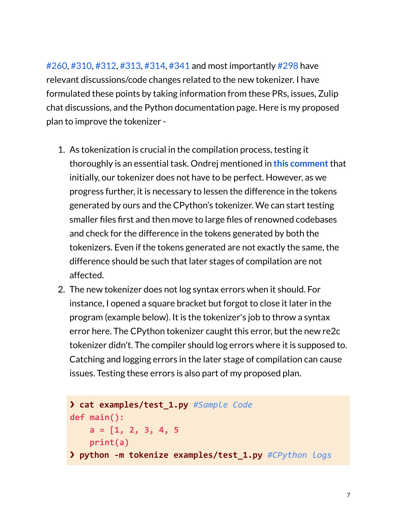[#260](https://github.com/lcompilers/lpython/pull/260), [#310,](https://github.com/lcompilers/lpython/pull/310) [#312,](https://github.com/lcompilers/lpython/pull/312) [#313,](https://github.com/lcompilers/lpython/pull/313) [#314,](https://github.com/lcompilers/lpython/pull/314) [#341](https://github.com/lcompilers/lpython/pull/341) and most importantly [#298](https://github.com/lcompilers/lpython/issues/298) have relevant discussions/code changes related to the new tokenizer. I have formulated these points by taking information from these PRs, issues, Zulip chat discussions, and the Python documentation page. Here is my proposed plan to improve the tokenizer -

- 1. As tokenization is crucial in the compilation process, testing it thoroughly is an essential task. Ondrej mentioned in **this [comment](https://github.com/lcompilers/lpython/pull/310#issuecomment-1086155075)**that initially, our tokenizer does not have to be perfect. However, as we progress further, it is necessary to lessen the difference in the tokens generated by ours and the CPython's tokenizer. We can start testing smaller files first and then move to large files of renowned codebases and check for the difference in the tokens generated by both the tokenizers. Even if the tokens generated are not exactly the same, the difference should be such that later stages of compilation are not affected.
- 2. The new tokenizer does not log syntax errors when it should. For instance, I opened a square bracket but forgot to close it later in the program (example below). It is the tokenizer's job to throw a syntax error here. The CPython tokenizer caught this error, but the new re2c tokenizer didn't. The compiler should log errors where it is supposed to. Catching and logging errors in the later stage of compilation can cause issues. Testing these errors is also part of my proposed plan.

```
❯ cat examples/test_1.py #Sample Code
def main():
    a = [1, 2, 3, 4, 5
    print(a)
❯ python -m tokenize examples/test_1.py #CPython logs
```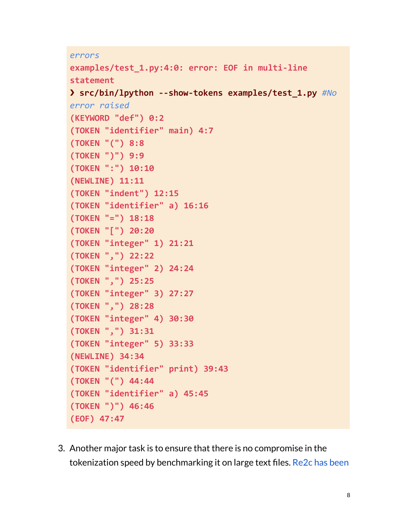```
errors
```

```
examples/test_1.py:4:0: error: EOF in multi-line
statement
❯ src/bin/lpython --show-tokens examples/test_1.py #No
error raised
(KEYWORD "def") 0:2
(TOKEN "identifier" main) 4:7
(TOKEN "(") 8:8
(TOKEN ")") 9:9
(TOKEN ":") 10:10
(NEWLINE) 11:11
(TOKEN "indent") 12:15
(TOKEN "identifier" a) 16:16
(TOKEN "=") 18:18
(TOKEN "[") 20:20
(TOKEN "integer" 1) 21:21
(TOKEN ",") 22:22
(TOKEN "integer" 2) 24:24
(TOKEN ",") 25:25
(TOKEN "integer" 3) 27:27
(TOKEN ",") 28:28
(TOKEN "integer" 4) 30:30
(TOKEN ",") 31:31
(TOKEN "integer" 5) 33:33
(NEWLINE) 34:34
(TOKEN "identifier" print) 39:43
(TOKEN "(") 44:44
(TOKEN "identifier" a) 45:45
(TOKEN ")") 46:46
(EOF) 47:47
```
3. Another major task is to ensure that there is no compromise in the tokenization speed by benchmarking it on large text files. [Re2c](https://re2c.org/benchmarks/benchmarks.html) has been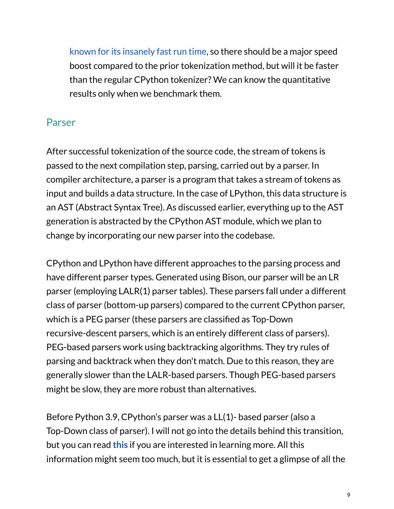known for its [insanely](https://re2c.org/benchmarks/benchmarks.html) fast run time, so there should be a major speed boost compared to the prior tokenization method, but will it be faster than the regular CPython tokenizer? We can know the quantitative results only when we benchmark them.

### Parser

After successful tokenization of the source code, the stream of tokens is passed to the next compilation step, parsing, carried out by a parser. In compiler architecture, a parser is a program that takes a stream of tokens as input and builds a data structure. In the case of LPython, this data structure is an AST (Abstract Syntax Tree). As discussed earlier, everything up to the AST generation is abstracted by the CPython AST module, which we plan to change by incorporating our new parser into the codebase.

CPython and LPython have different approaches to the parsing process and have different parser types. Generated using Bison, our parser will be an LR parser (employing LALR(1) parser tables). These parsers fall under a different class of parser (bottom-up parsers) compared to the current CPython parser, which is a PEG parser (these parsers are classified as Top-Down recursive-descent parsers, which is an entirely different class of parsers). PEG-based parsers work using backtracking algorithms. They try rules of parsing and backtrack when they don't match. Due to this reason, they are generally slower than the LALR-based parsers. Though PEG-based parsers might be slow, they are more robust than alternatives.

Before Python 3.9, CPython's parser was a LL(1)- based parser (also a Top-Down class of parser). I will not go into the details behind this transition, but you can read **[this](https://peps.python.org/pep-0617/)** if you are interested in learning more. All this information might seem too much, but it is essential to get a glimpse of all the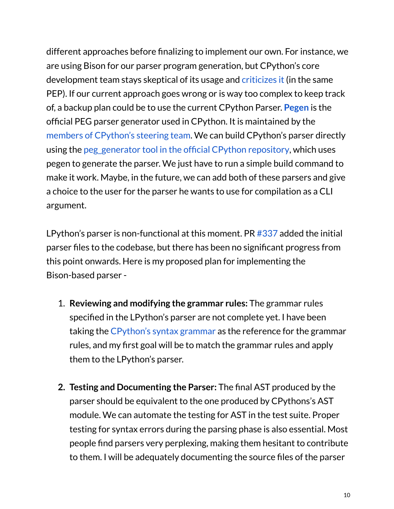different approaches before finalizing to implement our own. For instance, we are using Bison for our parser program generation, but CPython's core development team stays skeptical of its usage and [criticizes](https://peps.python.org/pep-0617/#rejected-alternatives) it (in the same PEP). If our current approach goes wrong or is way too complex to keep track of, a backup plan could be to use the current CPython Parser. **[Pegen](https://github.com/we-like-parsers/pegen)** is the official PEG parser generator used in CPython. It is maintained by the members of [CPython's](https://github.com/we-like-parsers/pegen_experiments) steering team. We can build CPython's parser directly using the [peg\\_generator](https://github.com/python/cpython/tree/main/Tools/peg_generator) tool in the official CPython repository, which uses pegen to generate the parser. We just have to run a simple build command to make it work. Maybe, in the future, we can add both of these parsers and give a choice to the user for the parser he wants to use for compilation as a CLI argument.

LPython's parser is non-functional at this moment. PR [#337](https://github.com/lcompilers/lpython/pull/337) added the initial parser files to the codebase, but there has been no significant progress from this point onwards. Here is my proposed plan for implementing the Bison-based parser -

- 1. **Reviewing and modifying the grammar rules:** The grammar rules specified in the LPython's parser are not complete yet. I have been taking the [CPython's](https://github.com/python/cpython/blob/755be9b1505af591b9f2ee424a6525b6c2b65ce9/Grammar/python.gram) syntax grammar as the reference for the grammar rules, and my first goal will be to match the grammar rules and apply them to the LPython's parser.
- **2. Testing and Documenting the Parser:** The final AST produced by the parser should be equivalent to the one produced by CPythons's AST module. We can automate the testing for AST in the test suite. Proper testing for syntax errors during the parsing phase is also essential. Most people find parsers very perplexing, making them hesitant to contribute to them. I will be adequately documenting the source files of the parser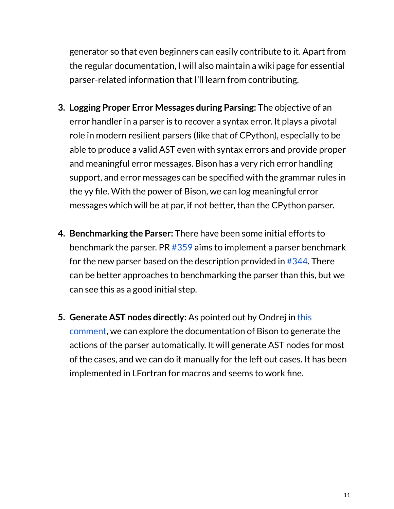generator so that even beginners can easily contribute to it. Apart from the regular documentation, I will also maintain a wiki page for essential parser-related information that I'll learn from contributing.

- **3. Logging Proper Error Messages during Parsing:** The objective of an error handler in a parser is to recover a syntax error. It plays a pivotal role in modern resilient parsers (like that of CPython), especially to be able to produce a valid AST even with syntax errors and provide proper and meaningful error messages. Bison has a very rich error handling support, and error messages can be specified with the grammar rules in the yy file. With the power of Bison, we can log meaningful error messages which will be at par, if not better, than the CPython parser.
- **4. Benchmarking the Parser:** There have been some initial efforts to benchmark the parser. PR [#359](https://github.com/lcompilers/lpython/pull/359) aims to implement a parser benchmark for the new parser based on the description provided in [#344](https://github.com/lcompilers/lpython/issues/344). There can be better approaches to benchmarking the parser than this, but we can see this as a good initial step.
- **5. Generate AST nodes directly:** As pointed out by Ondrej in [this](https://github.com/lcompilers/lpython/issues/298#issuecomment-1089478389) [comment,](https://github.com/lcompilers/lpython/issues/298#issuecomment-1089478389) we can explore the documentation of Bison to generate the actions of the parser automatically. It will generate AST nodes for most of the cases, and we can do it manually for the left out cases. It has been implemented in LFortran for macros and seems to work fine.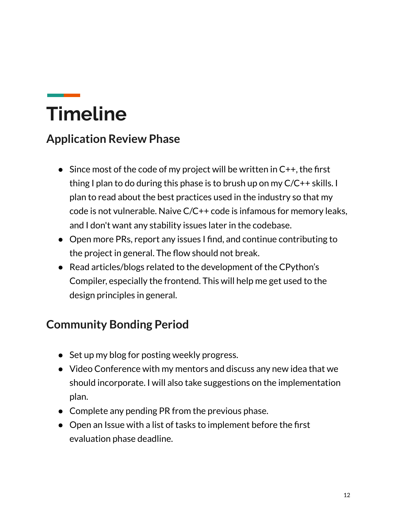# **Timeline**

## **Application Review Phase**

- $\bullet$  Since most of the code of my project will be written in  $C_{++}$ , the first thing I plan to do during this phase is to brush up on my C/C++ skills. I plan to read about the best practices used in the industry so that my code is not vulnerable. Naive C/C++ code is infamous for memory leaks, and I don't want any stability issues later in the codebase.
- Open more PRs, report any issues I find, and continue contributing to the project in general. The flow should not break.
- Read articles/blogs related to the development of the CPython's Compiler, especially the frontend. This will help me get used to the design principles in general.

## **Community Bonding Period**

- Set up my blog for posting weekly progress.
- Video Conference with my mentors and discuss any new idea that we should incorporate. I will also take suggestions on the implementation plan.
- Complete any pending PR from the previous phase.
- Open an Issue with a list of tasks to implement before the first evaluation phase deadline.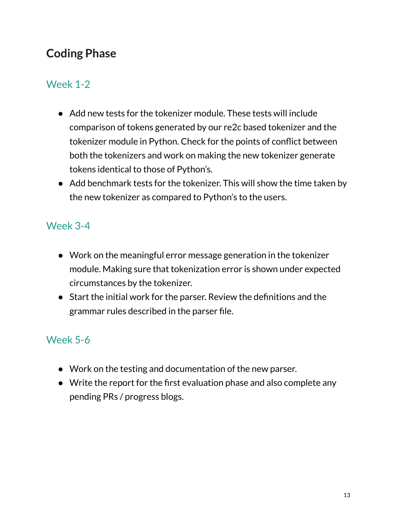## **Coding Phase**

### Week 1-2

- Add new tests for the tokenizer module. These tests will include comparison of tokens generated by our re2c based tokenizer and the tokenizer module in Python. Check for the points of conflict between both the tokenizers and work on making the new tokenizer generate tokens identical to those of Python's.
- Add benchmark tests for the tokenizer. This will show the time taken by the new tokenizer as compared to Python's to the users.

### Week 3-4

- Work on the meaningful error message generation in the tokenizer module. Making sure that tokenization error is shown under expected circumstances by the tokenizer.
- Start the initial work for the parser. Review the definitions and the grammar rules described in the parser file.

### Week 5-6

- Work on the testing and documentation of the new parser.
- Write the report for the first evaluation phase and also complete any pending PRs / progress blogs.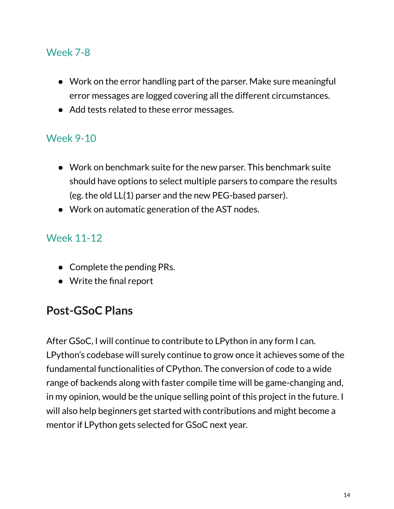### Week 7-8

- Work on the error handling part of the parser. Make sure meaningful error messages are logged covering all the different circumstances.
- Add tests related to these error messages.

### Week 9-10

- Work on benchmark suite for the new parser. This benchmark suite should have options to select multiple parsers to compare the results (eg. the old LL(1) parser and the new PEG-based parser).
- Work on automatic generation of the AST nodes.

### Week 11-12

- Complete the pending PRs.
- Write the final report

### **Post-GSoC Plans**

After GSoC, I will continue to contribute to LPython in any form I can. LPython's codebase will surely continue to grow once it achieves some of the fundamental functionalities of CPython. The conversion of code to a wide range of backends along with faster compile time will be game-changing and, in my opinion, would be the unique selling point of this project in the future. I will also help beginners get started with contributions and might become a mentor if LPython gets selected for GSoC next year.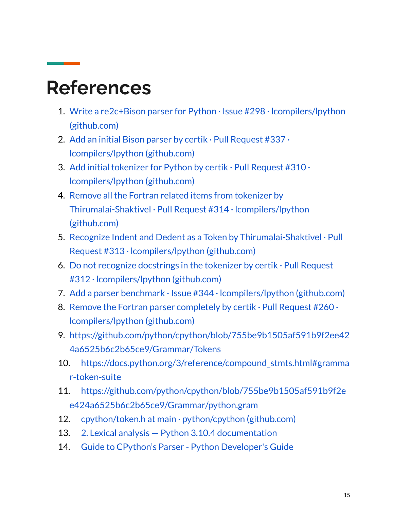## **References**

- 1. Write a re2c+Bison parser for Python · Issue #298 · [lcompilers/lpython](https://github.com/lcompilers/lpython/issues/298) [\(github.com\)](https://github.com/lcompilers/lpython/issues/298)
- 2. Add an initial Bison parser by certik  $\cdot$  Pull [Request](https://github.com/lcompilers/lpython/pull/337/files) #337 $\cdot$ [lcompilers/lpython](https://github.com/lcompilers/lpython/pull/337/files) (github.com)
- 3. Add initial [tokenizer](https://github.com/lcompilers/lpython/pull/310) for Python by certik  $\cdot$  Pull Request #310  $\cdot$ [lcompilers/lpython](https://github.com/lcompilers/lpython/pull/310) (github.com)
- 4. Remove all the Fortran related items from [tokenizer](https://github.com/lcompilers/lpython/pull/314) by [Thirumalai-Shaktivel](https://github.com/lcompilers/lpython/pull/314) · Pull Request #314 · lcompilers/lpython [\(github.com\)](https://github.com/lcompilers/lpython/pull/314)
- 5. Recognize Indent and Dedent as a Token by [Thirumalai-Shaktivel](https://github.com/lcompilers/lpython/pull/313) · Pull Request #313 · [lcompilers/lpython](https://github.com/lcompilers/lpython/pull/313) (github.com)
- 6. Do not recognize [docstrings](https://github.com/lcompilers/lpython/pull/312) in the tokenizer by certik  $\cdot$  Pull Request #312 · [lcompilers/lpython](https://github.com/lcompilers/lpython/pull/312) (github.com)
- 7. Add a parser benchmark  $\cdot$  Issue #344  $\cdot$  Icompilers/lpython (github.com)
- 8. Remove the Fortran parser [completely](https://github.com/lcompilers/lpython/pull/260) by certik  $\cdot$  Pull Request #260 $\cdot$ [lcompilers/lpython](https://github.com/lcompilers/lpython/pull/260) (github.com)
- 9. [https://github.com/python/cpython/blob/755be9b1505af591b9f2ee42](https://github.com/python/cpython/blob/755be9b1505af591b9f2ee424a6525b6c2b65ce9/Grammar/Tokens) [4a6525b6c2b65ce9/Grammar/Tokens](https://github.com/python/cpython/blob/755be9b1505af591b9f2ee424a6525b6c2b65ce9/Grammar/Tokens)
- 10. [https://docs.python.org/3/reference/compound\\_stmts.html#gramma](https://docs.python.org/3/reference/compound_stmts.html#grammar-token-suite) [r-token-suite](https://docs.python.org/3/reference/compound_stmts.html#grammar-token-suite)
- 11. [https://github.com/python/cpython/blob/755be9b1505af591b9f2e](https://github.com/python/cpython/blob/755be9b1505af591b9f2ee424a6525b6c2b65ce9/Grammar/python.gram) [e424a6525b6c2b65ce9/Grammar/python.gram](https://github.com/python/cpython/blob/755be9b1505af591b9f2ee424a6525b6c2b65ce9/Grammar/python.gram)
- 12. [cpython/token.h](https://github.com/python/cpython/blob/main/Include/token.h) at main  $\cdot$  python/cpython (github.com)
- 13. 2. Lexical analysis Python 3.10.4 [documentation](https://docs.python.org/3/reference/lexical_analysis.html)
- 14. Guide to CPython's Parser Python [Developer's](https://devguide.python.org/parser/) Guide